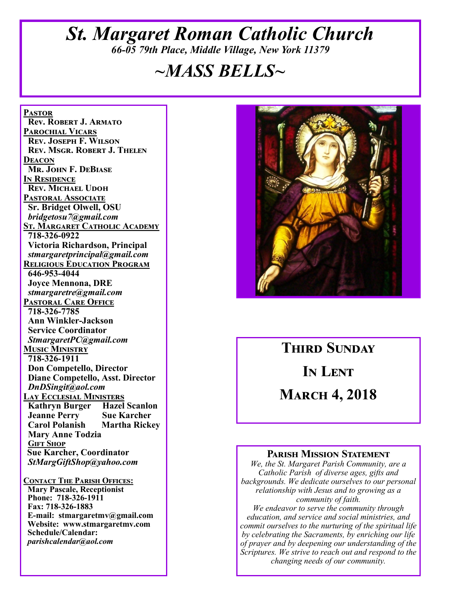# *St. Margaret Roman Catholic Church 66-05 79th Place, Middle Village, New York 11379*

# *~MASS BELLS~*

**Pastor Rev. Robert J. Armato Parochial Vicars Rev. Joseph F. Wilson Rev. Msgr. Robert J. Thelen Deacon Mr. John F. DeBiase In Residence Rev. Michael Udoh Pastoral Associate Sr. Bridget Olwell, OSU**  *bridgetosu7@gmail.com* **St. Margaret Catholic Academy 718-326-0922 Victoria Richardson, Principal**  *stmargaretprincipal@gmail.com* **Religious Education Program 646-953-4044 Joyce Mennona, DRE** *stmargaretre@gmail.com* **Pastoral Care Office 718-326-7785 Ann Winkler-Jackson Service Coordinator** *StmargaretPC@gmail.com* **Music Ministry 718-326-1911 Don Competello, Director Diane Competello, Asst. Director** *DnDSingit@aol.com* **Lay Ecclesial Ministers Kathryn Burger Hazel Scanlon Jeanne Perry Sue Karcher Martha Rickey Mary Anne Todzia Gift Shop Sue Karcher, Coordinator** *StMargGiftShop@yahoo.com*

**Contact The Parish Offices: Mary Pascale, Receptionist Phone: 718-326-1911 Fax: 718-326-1883 E-mail: stmargaretmv@gmail.com Website: www.stmargaretmv.com Schedule/Calendar:** *parishcalendar@aol.com* 



# **THIRD SUNDAY**

**In Lent** 

**March 4, 2018** 

#### **Parish Mission Statement**

*We, the St. Margaret Parish Community, are a Catholic Parish of diverse ages, gifts and backgrounds. We dedicate ourselves to our personal relationship with Jesus and to growing as a community of faith.*

*We endeavor to serve the community through education, and service and social ministries, and commit ourselves to the nurturing of the spiritual life by celebrating the Sacraments, by enriching our life of prayer and by deepening our understanding of the Scriptures. We strive to reach out and respond to the changing needs of our community.*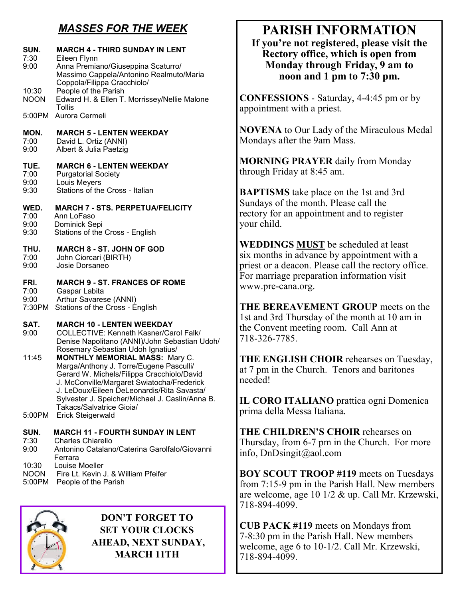# *MASSES FOR THE WEEK*

| SUN.                 | <b>MARCH 4 - THIRD SUNDAY IN LENT</b>                                                                                                                                                                                                                                                                                                                                      |  |
|----------------------|----------------------------------------------------------------------------------------------------------------------------------------------------------------------------------------------------------------------------------------------------------------------------------------------------------------------------------------------------------------------------|--|
| 7:30                 | Eileen Flynn                                                                                                                                                                                                                                                                                                                                                               |  |
| 9:00                 | Anna Premiano/Giuseppina Scaturro/<br>Massimo Cappela/Antonino Realmuto/Maria<br>Coppola/Filippa Cracchiolo/                                                                                                                                                                                                                                                               |  |
| 10:30<br><b>NOON</b> | People of the Parish<br>Edward H. & Ellen T. Morrissey/Nellie Malone<br>Tollis                                                                                                                                                                                                                                                                                             |  |
| 5:00PM               | Aurora Cermeli                                                                                                                                                                                                                                                                                                                                                             |  |
| MON.                 | <b>MARCH 5 - LENTEN WEEKDAY</b>                                                                                                                                                                                                                                                                                                                                            |  |
| 7:00                 | David L. Ortiz (ANNI)                                                                                                                                                                                                                                                                                                                                                      |  |
| 9:00                 | Albert & Julia Paetzig                                                                                                                                                                                                                                                                                                                                                     |  |
| TUE.                 | <b>MARCH 6 - LENTEN WEEKDAY</b>                                                                                                                                                                                                                                                                                                                                            |  |
| 7:00                 | <b>Purgatorial Society</b>                                                                                                                                                                                                                                                                                                                                                 |  |
| 9:00                 | Louis Meyers                                                                                                                                                                                                                                                                                                                                                               |  |
| 9:30                 | Stations of the Cross - Italian                                                                                                                                                                                                                                                                                                                                            |  |
| WED.                 | <b>MARCH 7 - STS. PERPETUA/FELICITY</b>                                                                                                                                                                                                                                                                                                                                    |  |
| 7:00                 | Ann LoFaso                                                                                                                                                                                                                                                                                                                                                                 |  |
| 9:00                 | Dominick Sepi                                                                                                                                                                                                                                                                                                                                                              |  |
| 9:30                 | Stations of the Cross - English                                                                                                                                                                                                                                                                                                                                            |  |
| THU.                 | <b>MARCH 8 - ST. JOHN OF GOD</b>                                                                                                                                                                                                                                                                                                                                           |  |
| 7:00                 | John Ciorcari (BIRTH)                                                                                                                                                                                                                                                                                                                                                      |  |
| 9:00                 | Josie Dorsaneo                                                                                                                                                                                                                                                                                                                                                             |  |
| FRI.                 | <b>MARCH 9 - ST. FRANCES OF ROME</b>                                                                                                                                                                                                                                                                                                                                       |  |
| 7:00                 | Gaspar Labita                                                                                                                                                                                                                                                                                                                                                              |  |
| 9:00                 | Arthur Savarese (ANNI)                                                                                                                                                                                                                                                                                                                                                     |  |
| 7:30PM               | Stations of the Cross - English                                                                                                                                                                                                                                                                                                                                            |  |
| SAT.<br>9:00         | <b>MARCH 10 - LENTEN WEEKDAY</b><br><b>COLLECTIVE: Kenneth Kasner/Carol Falk/</b><br>Denise Napolitano (ANNI)/John Sebastian Udoh/                                                                                                                                                                                                                                         |  |
| 11:45<br>5:00PM      | Rosemary Sebastian Udoh Ignatius/<br><b>MONTHLY MEMORIAL MASS: Mary C.</b><br>Marga/Anthony J. Torre/Eugene Pasculli/<br>Gerard W. Michels/Filippa Cracchiolo/David<br>J. McConville/Margaret Swiatocha/Frederick<br>J. LeDoux/Eileen DeLeonardis/Rita Savasta/<br>Sylvester J. Speicher/Michael J. Caslin/Anna B.<br>Takacs/Salvatrice Gioia/<br><b>Erick Steigerwald</b> |  |
| SUN.<br>7:30<br>9:00 | <b>MARCH 11 - FOURTH SUNDAY IN LENT</b><br><b>Charles Chiarello</b><br>Antonino Catalano/Caterina Garolfalo/Giovanni<br>Ferrara                                                                                                                                                                                                                                            |  |

- 10:30 Louise Moeller
- NOON Fire Lt. Kevin J. & William Pfeifer
- 5:00PM People of the Parish



**DON'T FORGET TO SET YOUR CLOCKS AHEAD, NEXT SUNDAY, MARCH 11TH**

# **PARISH INFORMATION**

**If you're not registered, please visit the Rectory office, which is open from Monday through Friday, 9 am to noon and 1 pm to 7:30 pm.**

**CONFESSIONS** - Saturday, 4-4:45 pm or by appointment with a priest.

**NOVENA** to Our Lady of the Miraculous Medal Mondays after the 9am Mass.

**MORNING PRAYER** daily from Monday through Friday at 8:45 am.

**BAPTISMS** take place on the 1st and 3rd Sundays of the month. Please call the rectory for an appointment and to register your child.

**WEDDINGS MUST** be scheduled at least six months in advance by appointment with a priest or a deacon. Please call the rectory office. For marriage preparation information visit www.pre-cana.org.

**THE BEREAVEMENT GROUP** meets on the 1st and 3rd Thursday of the month at 10 am in the Convent meeting room. Call Ann at 718-326-7785.

**THE ENGLISH CHOIR** rehearses on Tuesday, at 7 pm in the Church. Tenors and baritones needed!

**IL CORO ITALIANO** prattica ogni Domenica prima della Messa Italiana.

**THE CHILDREN'S CHOIR** rehearses on Thursday, from 6-7 pm in the Church. For more info, DnDsingit@aol.com

**BOY SCOUT TROOP #119** meets on Tuesdays from 7:15-9 pm in the Parish Hall. New members are welcome, age 10 1/2 & up. Call Mr. Krzewski, 718-894-4099.

**CUB PACK #119** meets on Mondays from 7-8:30 pm in the Parish Hall. New members welcome, age 6 to 10-1/2. Call Mr. Krzewski, 718-894-4099.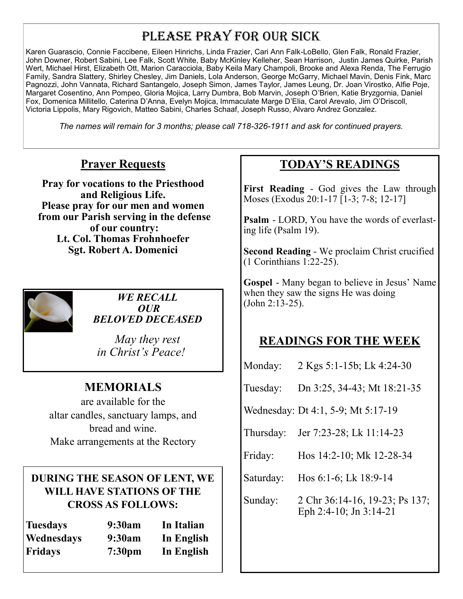# PLEASE PRAY FOR OUR SICK

Karen Guarascio, Connie Faccibene, Eileen Hinrichs, Linda Frazier, Cari Ann Falk-LoBello, Glen Falk, Ronald Frazier, John Downer, Robert Sabini, Lee Falk, Scott White, Baby McKinley Kelleher, Sean Harrison, Justin James Quirke, Parish Wert, Michael Hirst, Elizabeth Ott, Marion Caracciola, Baby Keila Mary Champoli, Brooke and Alexa Renda, The Ferrugio Family, Sandra Slattery, Shirley Chesley, Jim Daniels, Lola Anderson, George McGarry, Michael Mavin, Denis Fink, Marc Pagnozzi, John Vannata, Richard Santangelo, Joseph Simon, James Taylor, James Leung, Dr. Joan Virostko, Alfie Poje, Margaret Cosentino, Ann Pompeo, Gloria Mojica, Larry Dumbra, Bob Marvin, Joseph O'Brien, Katie Bryzgornia, Daniel Fox, Domenica Millitello, Caterina D'Anna, Evelyn Mojica, Immaculate Marge D'Elia, Carol Arevalo, Jim O'Driscoll, Victoria Lippolis, Mary Rigovich, Matteo Sabini, Charles Schaaf, Joseph Russo, Alvaro Andrez Gonzalez.

*The names will remain for 3 months; please call 718-326-1911 and ask for continued prayers.*

#### **Prayer Requests**

**Pray for vocations to the Priesthood and Religious Life. Please pray for our men and women from our Parish serving in the defense of our country: Lt. Col. Thomas Frohnhoefer Sgt. Robert A. Domenici** 



*WE RECALL OUR BELOVED DECEASED*

*May they rest in Christ's Peace!*

### **MEMORIALS**

are available for the altar candles, sanctuary lamps, and bread and wine. Make arrangements at the Rectory

### **DURING THE SEASON OF LENT, WE WILL HAVE STATIONS OF THE CROSS AS FOLLOWS:**

| <b>Tuesdays</b>   | 9:30am             | In Italian |
|-------------------|--------------------|------------|
| <b>Wednesdays</b> | 9:30am             | In English |
| Fridays           | 7:30 <sub>pm</sub> | In English |

# **TODAY'S READINGS**

**First Reading** - God gives the Law through Moses (Exodus 20:1-17 [1-3; 7-8; 12-17]

**Psalm** - LORD, You have the words of everlasting life (Psalm 19).

**Second Reading** - We proclaim Christ crucified (1 Corinthians 1:22-25).

**Gospel** - Many began to believe in Jesus' Name when they saw the signs He was doing (John 2:13-25).

# **READINGS FOR THE WEEK**

| Monday: | 2 Kgs 5:1-15b; Lk 4:24-30 |
|---------|---------------------------|
|---------|---------------------------|

Tuesday: Dn 3:25, 34-43; Mt 18:21-35

Wednesday: Dt 4:1, 5-9; Mt 5:17-19

Thursday: Jer 7:23-28; Lk 11:14-23

Friday: Hos 14:2-10; Mk 12-28-34

Saturday: Hos 6:1-6; Lk 18:9-14

Sunday: 2 Chr 36:14-16, 19-23; Ps 137; Eph 2:4-10; Jn 3:14-21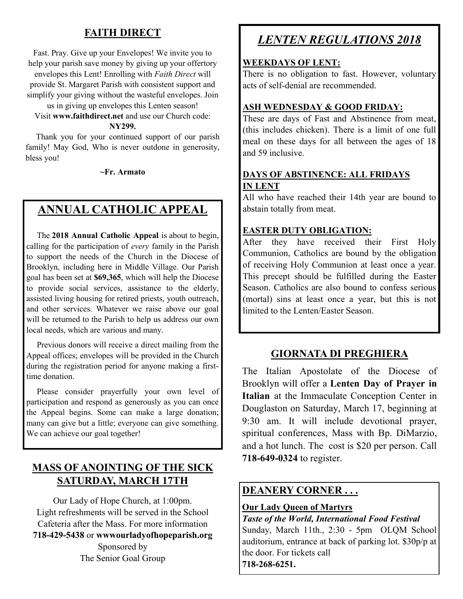#### **FAITH DIRECT**

Fast. Pray. Give up your Envelopes! We invite you to help your parish save money by giving up your offertory envelopes this Lent! Enrolling with *Faith Direct* will provide St. Margaret Parish with consistent support and simplify your giving without the wasteful envelopes. Join

us in giving up envelopes this Lenten season!

Visit **www.faithdirect.net** and use our Church code: **NY299.**

 Thank you for your continued support of our parish family! May God, Who is never outdone in generosity, bless you!

**~Fr. Armato**

# **ANNUAL CATHOLIC APPEAL**

 The **2018 Annual Catholic Appeal** is about to begin, calling for the participation of *every* family in the Parish to support the needs of the Church in the Diocese of Brooklyn, including here in Middle Village. Our Parish goal has been set at **\$69,365**, which will help the Diocese to provide social services, assistance to the elderly, assisted living housing for retired priests, youth outreach, and other services. Whatever we raise above our goal will be returned to the Parish to help us address our own local needs, which are various and many.

 Previous donors will receive a direct mailing from the Appeal offices; envelopes will be provided in the Church during the registration period for anyone making a firsttime donation.

 Please consider prayerfully your own level of participation and respond as generously as you can once the Appeal begins. Some can make a large donation; many can give but a little; everyone can give something. We can achieve our goal together!

#### **MASS OF ANOINTING OF THE SICK SATURDAY, MARCH 17TH**

Our Lady of Hope Church, at 1:00pm. Light refreshments will be served in the School Cafeteria after the Mass. For more information **718-429-5438** or **wwwourladyofhopeparish.org** Sponsored by The Senior Goal Group

# *LENTEN REGULATIONS 2018*

#### **WEEKDAYS OF LENT:**

There is no obligation to fast. However, voluntary acts of self-denial are recommended.

#### **ASH WEDNESDAY & GOOD FRIDAY:**

These are days of Fast and Abstinence from meat, (this includes chicken). There is a limit of one full meal on these days for all between the ages of 18 and 59 inclusive.

#### **DAYS OF ABSTINENCE: ALL FRIDAYS IN LENT**

All who have reached their 14th year are bound to abstain totally from meat.

#### **EASTER DUTY OBLIGATION:**

After they have received their First Holy Communion, Catholics are bound by the obligation of receiving Holy Communion at least once a year. This precept should be fulfilled during the Easter Season. Catholics are also bound to confess serious (mortal) sins at least once a year, but this is not limited to the Lenten/Easter Season.

### **GIORNATA DI PREGHIERA**

The Italian Apostolate of the Diocese of Brooklyn will offer a **Lenten Day of Prayer in Italian** at the Immaculate Conception Center in Douglaston on Saturday, March 17, beginning at 9:30 am. It will include devotional prayer, spiritual conferences, Mass with Bp. DiMarzio, and a hot lunch. The cost is \$20 per person. Call **718-649-0324** to register.

### **DEANERY CORNER . . .**

**Our Lady Queen of Martyrs** *Taste of the World, International Food Festival*

Sunday, March 11th., 2:30 - 5pm OLQM School auditorium, entrance at back of parking lot. \$30p/p at the door. For tickets call **718-268-6251.**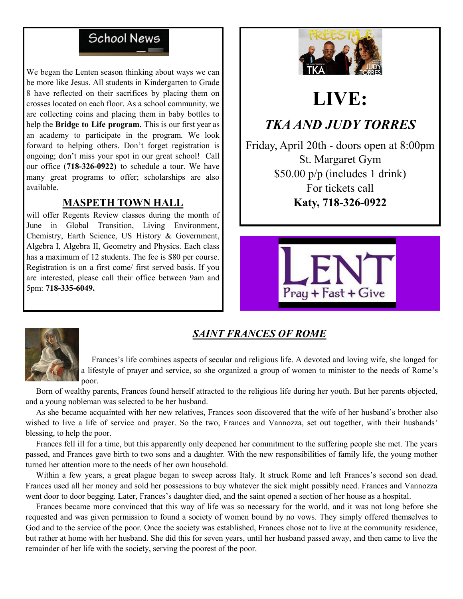# **School News**

We began the Lenten season thinking about ways we can be more like Jesus. All students in Kindergarten to Grade 8 have reflected on their sacrifices by placing them on crosses located on each floor. As a school community, we are collecting coins and placing them in baby bottles to help the **Bridge to Life program.** This is our first year as an academy to participate in the program. We look forward to helping others. Don't forget registration is ongoing; don't miss your spot in our great school! Call our office (**718-326-0922)** to schedule a tour. We have many great programs to offer; scholarships are also available.

#### **MASPETH TOWN HALL**

will offer Regents Review classes during the month of June in Global Transition, Living Environment, Chemistry, Earth Science, US History & Government, Algebra I, Algebra II, Geometry and Physics. Each class has a maximum of 12 students. The fee is \$80 per course. Registration is on a first come/ first served basis. If you are interested, please call their office between 9am and 5pm: **718-335-6049.**



# **LIVE:**

# *TKA AND JUDY TORRES*

Friday, April 20th - doors open at 8:00pm St. Margaret Gym \$50.00 p/p (includes 1 drink) For tickets call **Katy, 718-326-0922**





# *SAINT FRANCES OF ROME*

 Frances's life combines aspects of secular and religious life. A devoted and loving wife, she longed for a lifestyle of prayer and service, so she organized a group of women to minister to the needs of Rome's poor.

 Born of wealthy parents, Frances found herself attracted to the religious life during her youth. But her parents objected, and a young nobleman was selected to be her husband.

 As she became acquainted with her new relatives, Frances soon discovered that the wife of her husband's brother also wished to live a life of service and prayer. So the two, Frances and Vannozza, set out together, with their husbands' blessing, to help the poor.

 Frances fell ill for a time, but this apparently only deepened her commitment to the suffering people she met. The years passed, and Frances gave birth to two sons and a daughter. With the new responsibilities of family life, the young mother turned her attention more to the needs of her own household.

 Within a few years, a great plague began to sweep across Italy. It struck Rome and left Frances's second son dead. Frances used all her money and sold her possessions to buy whatever the sick might possibly need. Frances and Vannozza went door to door begging. Later, Frances's daughter died, and the saint opened a section of her house as a hospital.

 Frances became more convinced that this way of life was so necessary for the world, and it was not long before she requested and was given permission to found a society of women bound by no vows. They simply offered themselves to God and to the service of the poor. Once the society was established, Frances chose not to live at the community residence, but rather at home with her husband. She did this for seven years, until her husband passed away, and then came to live the remainder of her life with the society, serving the poorest of the poor.